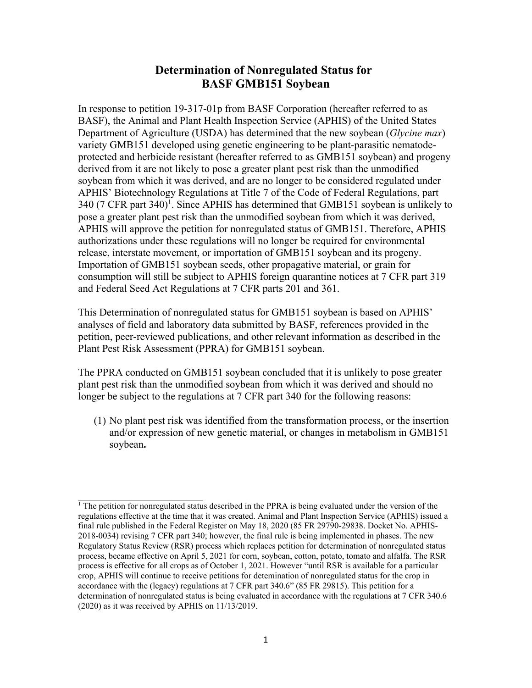## **Determinatio[n](#page-0-0) of Nonregulated Status for BASF GMB151 Soybean**

In response to petition 19-317-01p from BASF Corporation (hereafter referred to as BASF), the Animal and Plant Health Inspection Service (APHIS) of the United States Department of Agriculture (USDA) has determined that the new soybean (*Glycine max*) variety GMB151 developed using genetic engineering to be plant-parasitic nematodeprotected and herbicide resistant (hereafter referred to as GMB151 soybean) and progeny derived from it are not likely to pose a greater plant pest risk than the unmodified soybean from which it was derived, and are no longer to be considered regulated under APHIS' Biotechnology Regulations at Title 7 of the Code of Federal Regulations, part 340 (7 CFR part 340)<sup>1</sup>. Since APHIS has determined that GMB151 soybean is unlikely to pose a greater plant pest risk than the unmodified soybean from which it was derived, APHIS will approve the petition for nonregulated status of GMB151. Therefore, APHIS authorizations under these regulations will no longer be required for environmental release, interstate movement, or importation of GMB151 soybean and its progeny. Importation of GMB151 soybean seeds, other propagative material, or grain for consumption will still be subject to APHIS foreign quarantine notices at 7 CFR part 319 and Federal Seed Act Regulations at 7 CFR parts 201 and 361.

This Determination of nonregulated status for GMB151 soybean is based on APHIS' analyses of field and laboratory data submitted by BASF, references provided in the petition, peer-reviewed publications, and other relevant information as described in the Plant Pest Risk Assessment (PPRA) for GMB151 soybean.

The PPRA conducted on GMB151 soybean concluded that it is unlikely to pose greater plant pest risk than the unmodified soybean from which it was derived and should no longer be subject to the regulations at 7 CFR part 340 for the following reasons:

(1) No plant pest risk was identified from the transformation process, or the insertion and/or expression of new genetic material, or changes in metabolism in GMB151 soybean**.**

<span id="page-0-0"></span><sup>&</sup>lt;sup>1</sup> The petition for nonregulated status described in the PPRA is being evaluated under the version of the regulations effective at the time that it was created. Animal and Plant Inspection Service (APHIS) issued a final rule published in the Federal Register on May 18, 2020 (85 FR 29790-29838. Docket No. APHIS-2018-0034) revising 7 CFR part 340; however, the final rule is being implemented in phases. The new Regulatory Status Review (RSR) process which replaces petition for determination of nonregulated status process, became effective on April 5, 2021 for corn, soybean, cotton, potato, tomato and alfalfa. The RSR process is effective for all crops as of October 1, 2021. However "until RSR is available for a particular crop, APHIS will continue to receive petitions for detemination of nonregulated status for the crop in accordance with the (legacy) regulations at 7 CFR part 340.6" (85 FR 29815). This petition for a determination of nonregulated status is being evaluated in accordance with the regulations at 7 CFR 340.6 (2020) as it was received by APHIS on 11/13/2019.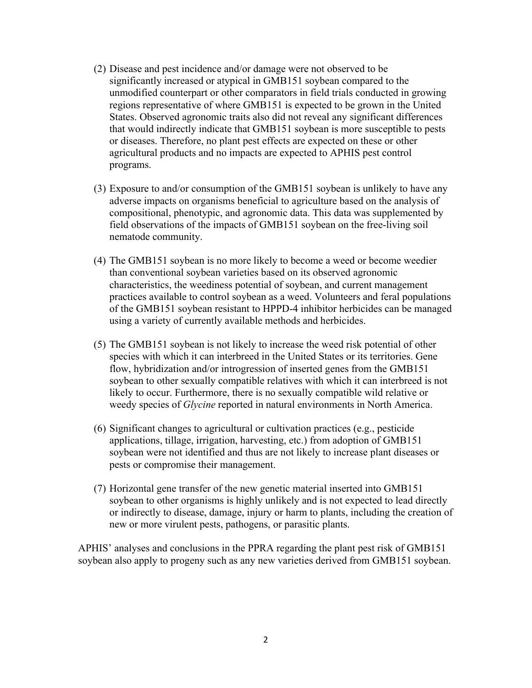- (2) Disease and pest incidence and/or damage were not observed to be significantly increased or atypical in GMB151 soybean compared to the unmodified counterpart or other comparators in field trials conducted in growing regions representative of where GMB151 is expected to be grown in the United States. Observed agronomic traits also did not reveal any significant differences that would indirectly indicate that GMB151 soybean is more susceptible to pests or diseases. Therefore, no plant pest effects are expected on these or other agricultural products and no impacts are expected to APHIS pest control programs.
- (3) Exposure to and/or consumption of the GMB151 soybean is unlikely to have any adverse impacts on organisms beneficial to agriculture based on the analysis of compositional, phenotypic, and agronomic data. This data was supplemented by field observations of the impacts of GMB151 soybean on the free-living soil nematode community.
- (4) The GMB151 soybean is no more likely to become a weed or become weedier than conventional soybean varieties based on its observed agronomic characteristics, the weediness potential of soybean, and current management practices available to control soybean as a weed. Volunteers and feral populations of the GMB151 soybean resistant to HPPD-4 inhibitor herbicides can be managed using a variety of currently available methods and herbicides.
- (5) The GMB151 soybean is not likely to increase the weed risk potential of other species with which it can interbreed in the United States or its territories. Gene flow, hybridization and/or introgression of inserted genes from the GMB151 soybean to other sexually compatible relatives with which it can interbreed is not likely to occur. Furthermore, there is no sexually compatible wild relative or weedy species of *Glycine* reported in natural environments in North America.
- (6) Significant changes to agricultural or cultivation practices (e.g., pesticide applications, tillage, irrigation, harvesting, etc.) from adoption of GMB151 soybean were not identified and thus are not likely to increase plant diseases or pests or compromise their management.
- (7) Horizontal gene transfer of the new genetic material inserted into GMB151 soybean to other organisms is highly unlikely and is not expected to lead directly or indirectly to disease, damage, injury or harm to plants, including the creation of new or more virulent pests, pathogens, or parasitic plants.

APHIS' analyses and conclusions in the PPRA regarding the plant pest risk of GMB151 soybean also apply to progeny such as any new varieties derived from GMB151 soybean.